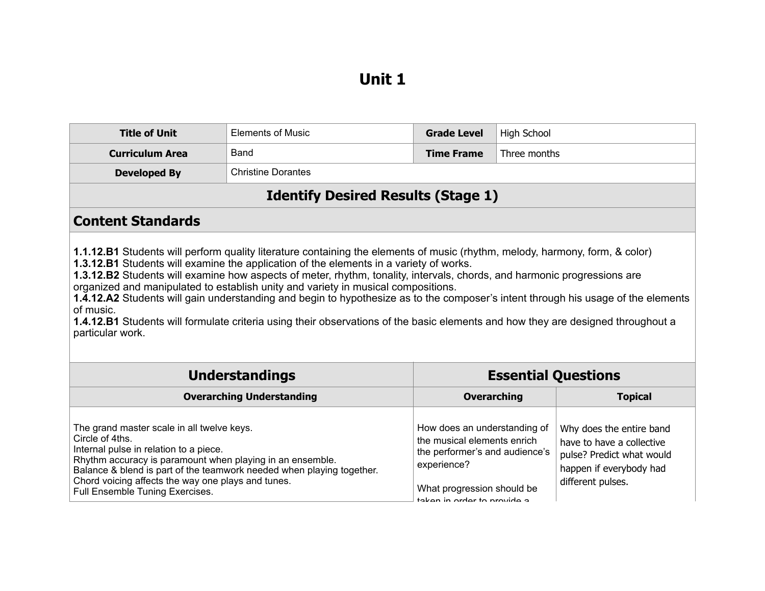| <b>Title of Unit</b>                                                                                                                                                                                                                                                                                                                                                                                                                                                                                                                                                                                                                                                                                                                              | <b>Elements of Music</b>                  | <b>Grade Level</b> | <b>High School</b> |                |  |
|---------------------------------------------------------------------------------------------------------------------------------------------------------------------------------------------------------------------------------------------------------------------------------------------------------------------------------------------------------------------------------------------------------------------------------------------------------------------------------------------------------------------------------------------------------------------------------------------------------------------------------------------------------------------------------------------------------------------------------------------------|-------------------------------------------|--------------------|--------------------|----------------|--|
| <b>Curriculum Area</b>                                                                                                                                                                                                                                                                                                                                                                                                                                                                                                                                                                                                                                                                                                                            | Band                                      | <b>Time Frame</b>  | Three months       |                |  |
| <b>Developed By</b>                                                                                                                                                                                                                                                                                                                                                                                                                                                                                                                                                                                                                                                                                                                               | <b>Christine Dorantes</b>                 |                    |                    |                |  |
|                                                                                                                                                                                                                                                                                                                                                                                                                                                                                                                                                                                                                                                                                                                                                   | <b>Identify Desired Results (Stage 1)</b> |                    |                    |                |  |
| <b>Content Standards</b>                                                                                                                                                                                                                                                                                                                                                                                                                                                                                                                                                                                                                                                                                                                          |                                           |                    |                    |                |  |
| 1.1.12.B1 Students will perform quality literature containing the elements of music (rhythm, melody, harmony, form, & color)<br>1.3.12.B1 Students will examine the application of the elements in a variety of works.<br>1.3.12.B2 Students will examine how aspects of meter, rhythm, tonality, intervals, chords, and harmonic progressions are<br>organized and manipulated to establish unity and variety in musical compositions.<br>1.4.12.A2 Students will gain understanding and begin to hypothesize as to the composer's intent through his usage of the elements<br>of music.<br>1.4.12.B1 Students will formulate criteria using their observations of the basic elements and how they are designed throughout a<br>particular work. |                                           |                    |                    |                |  |
| <b>Understandings</b><br><b>Essential Questions</b>                                                                                                                                                                                                                                                                                                                                                                                                                                                                                                                                                                                                                                                                                               |                                           |                    |                    |                |  |
|                                                                                                                                                                                                                                                                                                                                                                                                                                                                                                                                                                                                                                                                                                                                                   |                                           |                    |                    |                |  |
|                                                                                                                                                                                                                                                                                                                                                                                                                                                                                                                                                                                                                                                                                                                                                   | <b>Overarching Understanding</b>          |                    | <b>Overarching</b> | <b>Topical</b> |  |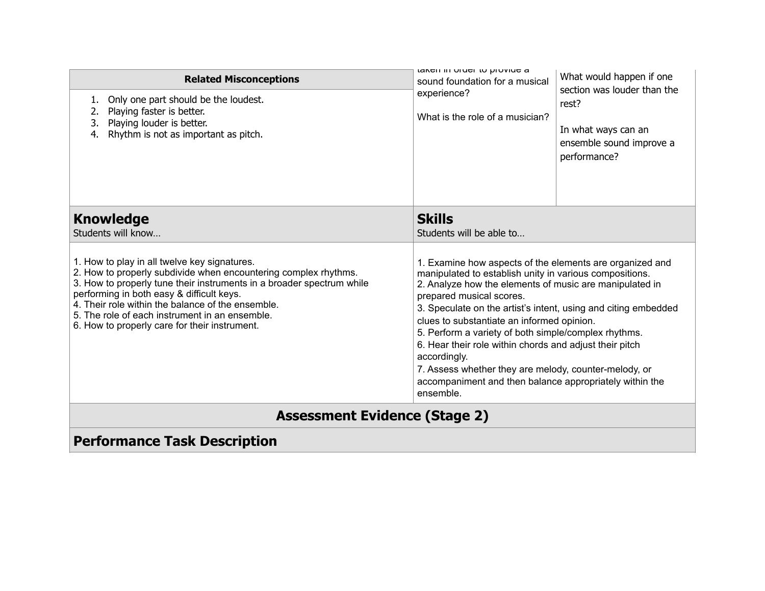| Rhythm is not as important as pitch.<br>4.                                                                                                                                                                                                                                                                                                                                                                                              |                                                                                                                                                                                                                                                                                                                                                                                                                                                                                                                                                                                                                                             | In what ways can an<br>ensemble sound improve a<br>performance? |
|-----------------------------------------------------------------------------------------------------------------------------------------------------------------------------------------------------------------------------------------------------------------------------------------------------------------------------------------------------------------------------------------------------------------------------------------|---------------------------------------------------------------------------------------------------------------------------------------------------------------------------------------------------------------------------------------------------------------------------------------------------------------------------------------------------------------------------------------------------------------------------------------------------------------------------------------------------------------------------------------------------------------------------------------------------------------------------------------------|-----------------------------------------------------------------|
| <b>Knowledge</b><br>Students will know<br>1. How to play in all twelve key signatures.<br>2. How to properly subdivide when encountering complex rhythms.<br>3. How to properly tune their instruments in a broader spectrum while<br>performing in both easy & difficult keys.<br>4. Their role within the balance of the ensemble.<br>5. The role of each instrument in an ensemble.<br>6. How to properly care for their instrument. | <b>Skills</b><br>Students will be able to<br>1. Examine how aspects of the elements are organized and<br>manipulated to establish unity in various compositions.<br>2. Analyze how the elements of music are manipulated in<br>prepared musical scores.<br>3. Speculate on the artist's intent, using and citing embedded<br>clues to substantiate an informed opinion.<br>5. Perform a variety of both simple/complex rhythms.<br>6. Hear their role within chords and adjust their pitch<br>accordingly.<br>7. Assess whether they are melody, counter-melody, or<br>accompaniment and then balance appropriately within the<br>ensemble. |                                                                 |

## **Assessment Evidence (Stage 2)**

## **Performance Task Description**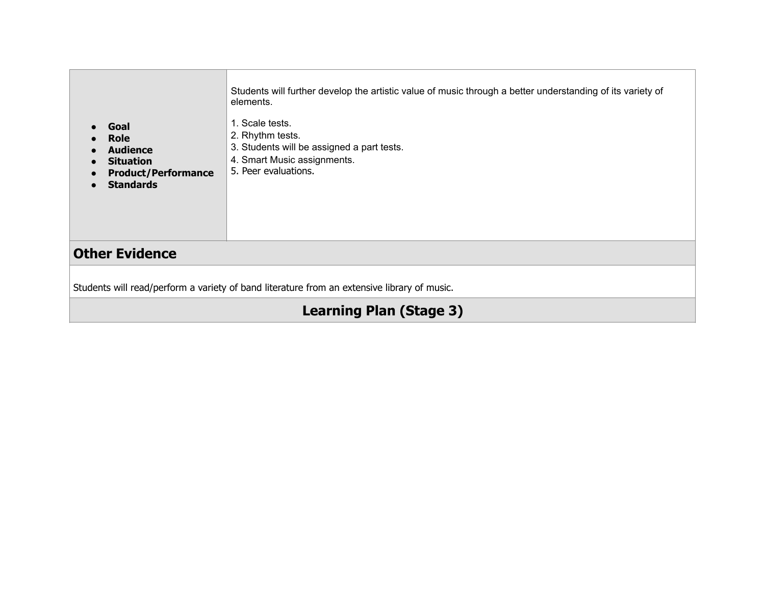| Goal<br><b>Role</b><br><b>Audience</b><br><b>Situation</b><br>$\bullet$<br><b>Product/Performance</b><br>$\epsilon$<br><b>Standards</b> | Students will further develop the artistic value of music through a better understanding of its variety of<br>elements.<br>1. Scale tests.<br>2. Rhythm tests.<br>3. Students will be assigned a part tests.<br>4. Smart Music assignments.<br>5. Peer evaluations. |  |  |
|-----------------------------------------------------------------------------------------------------------------------------------------|---------------------------------------------------------------------------------------------------------------------------------------------------------------------------------------------------------------------------------------------------------------------|--|--|
| <b>Other Evidence</b>                                                                                                                   |                                                                                                                                                                                                                                                                     |  |  |
| Students will read/perform a variety of band literature from an extensive library of music.                                             |                                                                                                                                                                                                                                                                     |  |  |
| <b>Learning Plan (Stage 3)</b>                                                                                                          |                                                                                                                                                                                                                                                                     |  |  |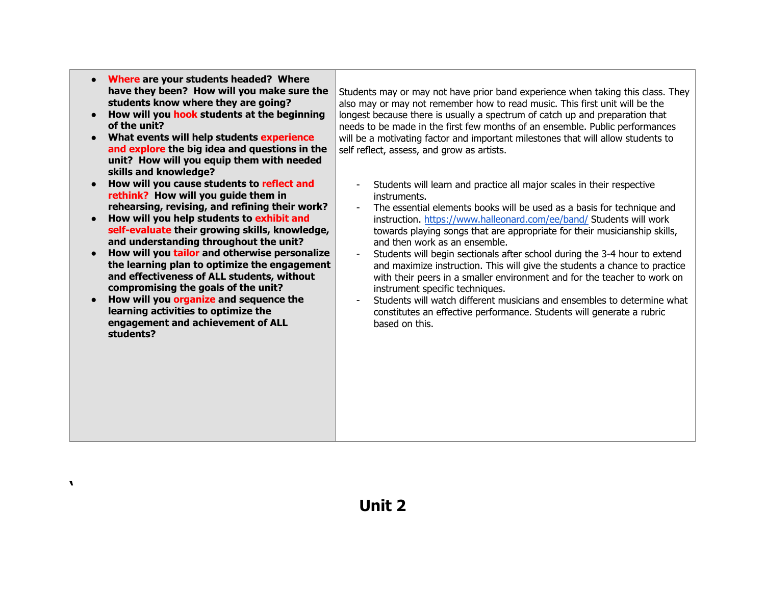- **Where are your students headed? Where have they been? How will you make sure the students know where they are going?**
- **How will you hook students at the beginning of the unit?**
- **What events will help students experience and explore the big idea and questions in the unit? How will you equip them with needed skills and knowledge?**
- **How will you cause students to reflect and rethink? How will you guide them in rehearsing, revising, and refining their work?**
- **How will you help students to exhibit and self-evaluate their growing skills, knowledge, and understanding throughout the unit?**
- **How will you tailor and otherwise personalize the learning plan to optimize the engagement and effectiveness of ALL students, without compromising the goals of the unit?**
- **How will you organize and sequence the learning activities to optimize the engagement and achievement of ALL students?**

**'** 

Students may or may not have prior band experience when taking this class. They also may or may not remember how to read music. This first unit will be the longest because there is usually a spectrum of catch up and preparation that needs to be made in the first few months of an ensemble. Public performances will be a motivating factor and important milestones that will allow students to self reflect, assess, and grow as artists.

- Students will learn and practice all major scales in their respective instruments.
- The essential elements books will be used as a basis for technique and instruction. <https://www.halleonard.com/ee/band/>Students will work towards playing songs that are appropriate for their musicianship skills, and then work as an ensemble.
- Students will begin sectionals after school during the 3-4 hour to extend and maximize instruction. This will give the students a chance to practice with their peers in a smaller environment and for the teacher to work on instrument specific techniques.
- Students will watch different musicians and ensembles to determine what constitutes an effective performance. Students will generate a rubric based on this.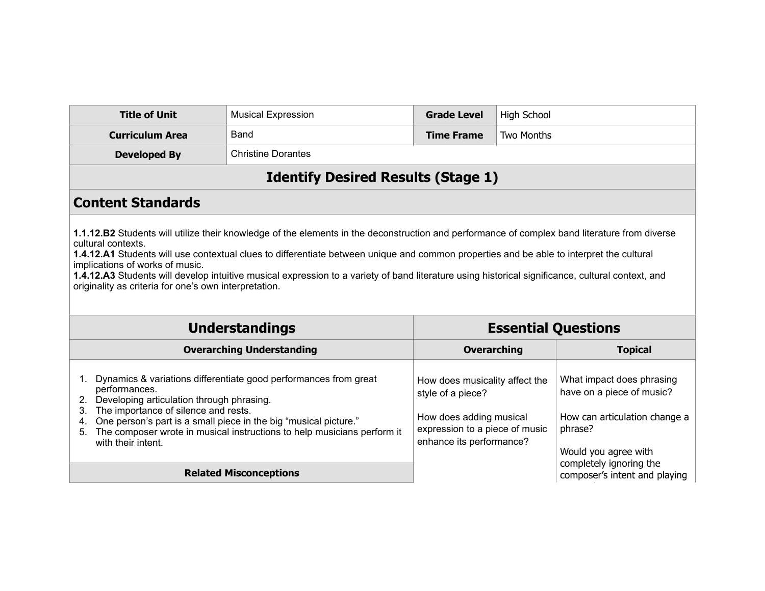| <b>Title of Unit</b>                                                                                                                                                                                                                                                                                                                                                                                                                                                                                                                                             | <b>Musical Expression</b>                 | <b>Grade Level</b>                                                                                                                           | <b>High School</b>         |                                                                                                                            |  |
|------------------------------------------------------------------------------------------------------------------------------------------------------------------------------------------------------------------------------------------------------------------------------------------------------------------------------------------------------------------------------------------------------------------------------------------------------------------------------------------------------------------------------------------------------------------|-------------------------------------------|----------------------------------------------------------------------------------------------------------------------------------------------|----------------------------|----------------------------------------------------------------------------------------------------------------------------|--|
| <b>Curriculum Area</b>                                                                                                                                                                                                                                                                                                                                                                                                                                                                                                                                           | Band                                      | <b>Time Frame</b>                                                                                                                            | <b>Two Months</b>          |                                                                                                                            |  |
| <b>Developed By</b>                                                                                                                                                                                                                                                                                                                                                                                                                                                                                                                                              | <b>Christine Dorantes</b>                 |                                                                                                                                              |                            |                                                                                                                            |  |
|                                                                                                                                                                                                                                                                                                                                                                                                                                                                                                                                                                  | <b>Identify Desired Results (Stage 1)</b> |                                                                                                                                              |                            |                                                                                                                            |  |
| <b>Content Standards</b>                                                                                                                                                                                                                                                                                                                                                                                                                                                                                                                                         |                                           |                                                                                                                                              |                            |                                                                                                                            |  |
| 1.1.12.B2 Students will utilize their knowledge of the elements in the deconstruction and performance of complex band literature from diverse<br>cultural contexts.<br>1.4.12.A1 Students will use contextual clues to differentiate between unique and common properties and be able to interpret the cultural<br>implications of works of music.<br>1.4.12.A3 Students will develop intuitive musical expression to a variety of band literature using historical significance, cultural context, and<br>originality as criteria for one's own interpretation. |                                           |                                                                                                                                              |                            |                                                                                                                            |  |
|                                                                                                                                                                                                                                                                                                                                                                                                                                                                                                                                                                  | <b>Understandings</b>                     |                                                                                                                                              | <b>Essential Questions</b> |                                                                                                                            |  |
|                                                                                                                                                                                                                                                                                                                                                                                                                                                                                                                                                                  | <b>Overarching Understanding</b>          | <b>Overarching</b>                                                                                                                           |                            | <b>Topical</b>                                                                                                             |  |
| 1. Dynamics & variations differentiate good performances from great<br>performances.<br>Developing articulation through phrasing.<br>The importance of silence and rests.<br>3.<br>One person's part is a small piece in the big "musical picture."<br>4.<br>The composer wrote in musical instructions to help musicians perform it<br>5.<br>with their intent.                                                                                                                                                                                                 |                                           | How does musicality affect the<br>style of a piece?<br>How does adding musical<br>expression to a piece of music<br>enhance its performance? |                            | What impact does phrasing<br>have on a piece of music?<br>How can articulation change a<br>phrase?<br>Would you agree with |  |
| completely ignoring the<br><b>Related Misconceptions</b>                                                                                                                                                                                                                                                                                                                                                                                                                                                                                                         |                                           |                                                                                                                                              |                            | composer's intent and playing                                                                                              |  |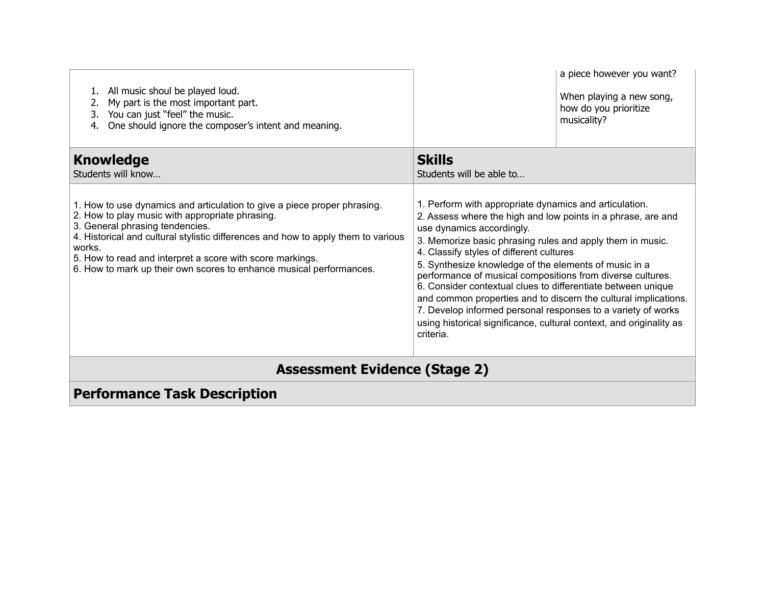| All music shoul be played loud.<br>My part is the most important part.<br>You can just "feel" the music.<br>3.<br>One should ignore the composer's intent and meaning.<br>4.                                                                                                                                                                                                                      |                                                                                                                                                                                                                                                                                                                                                                                                                                                                                                                                                                                                                                                                            | a piece however you want?<br>When playing a new song,<br>how do you prioritize<br>musicality? |  |
|---------------------------------------------------------------------------------------------------------------------------------------------------------------------------------------------------------------------------------------------------------------------------------------------------------------------------------------------------------------------------------------------------|----------------------------------------------------------------------------------------------------------------------------------------------------------------------------------------------------------------------------------------------------------------------------------------------------------------------------------------------------------------------------------------------------------------------------------------------------------------------------------------------------------------------------------------------------------------------------------------------------------------------------------------------------------------------------|-----------------------------------------------------------------------------------------------|--|
| <b>Knowledge</b><br>Students will know                                                                                                                                                                                                                                                                                                                                                            | <b>Skills</b><br>Students will be able to                                                                                                                                                                                                                                                                                                                                                                                                                                                                                                                                                                                                                                  |                                                                                               |  |
| 1. How to use dynamics and articulation to give a piece proper phrasing.<br>2. How to play music with appropriate phrasing.<br>3. General phrasing tendencies.<br>4. Historical and cultural stylistic differences and how to apply them to various<br>works.<br>5. How to read and interpret a score with score markings.<br>6. How to mark up their own scores to enhance musical performances. | 1. Perform with appropriate dynamics and articulation.<br>2. Assess where the high and low points in a phrase, are and<br>use dynamics accordingly.<br>3. Memorize basic phrasing rules and apply them in music.<br>4. Classify styles of different cultures<br>5. Synthesize knowledge of the elements of music in a<br>performance of musical compositions from diverse cultures.<br>6. Consider contextual clues to differentiate between unique<br>and common properties and to discern the cultural implications.<br>7. Develop informed personal responses to a variety of works<br>using historical significance, cultural context, and originality as<br>criteria. |                                                                                               |  |
| <b>Assessment Evidence (Stage 2)</b>                                                                                                                                                                                                                                                                                                                                                              |                                                                                                                                                                                                                                                                                                                                                                                                                                                                                                                                                                                                                                                                            |                                                                                               |  |
| <b>Performance Task Description</b>                                                                                                                                                                                                                                                                                                                                                               |                                                                                                                                                                                                                                                                                                                                                                                                                                                                                                                                                                                                                                                                            |                                                                                               |  |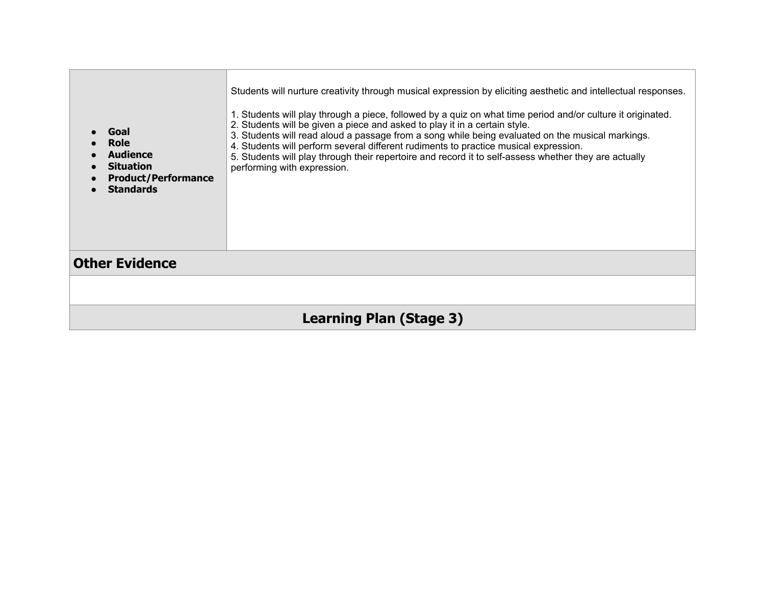| Goal<br><b>Role</b><br><b>Audience</b><br><b>Situation</b><br><b>Product/Performance</b><br><b>Standards</b> | Students will nurture creativity through musical expression by eliciting aesthetic and intellectual responses.<br>1. Students will play through a piece, followed by a quiz on what time period and/or culture it originated.<br>2. Students will be given a piece and asked to play it in a certain style.<br>3. Students will read aloud a passage from a song while being evaluated on the musical markings.<br>4. Students will perform several different rudiments to practice musical expression.<br>5. Students will play through their repertoire and record it to self-assess whether they are actually<br>performing with expression. |  |  |  |
|--------------------------------------------------------------------------------------------------------------|-------------------------------------------------------------------------------------------------------------------------------------------------------------------------------------------------------------------------------------------------------------------------------------------------------------------------------------------------------------------------------------------------------------------------------------------------------------------------------------------------------------------------------------------------------------------------------------------------------------------------------------------------|--|--|--|
| <b>Other Evidence</b>                                                                                        |                                                                                                                                                                                                                                                                                                                                                                                                                                                                                                                                                                                                                                                 |  |  |  |
|                                                                                                              |                                                                                                                                                                                                                                                                                                                                                                                                                                                                                                                                                                                                                                                 |  |  |  |
| <b>Learning Plan (Stage 3)</b>                                                                               |                                                                                                                                                                                                                                                                                                                                                                                                                                                                                                                                                                                                                                                 |  |  |  |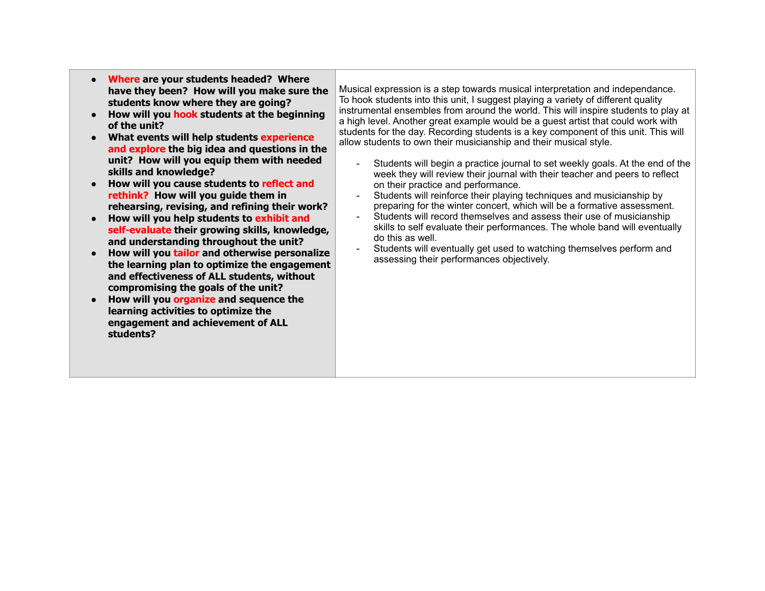- **Where are your students headed? Where have they been? How will you make sure the students know where they are going?**
- **How will you hook students at the beginning of the unit?**
- **What events will help students experience and explore the big idea and questions in the unit? How will you equip them with needed skills and knowledge?**
- **How will you cause students to reflect and rethink? How will you guide them in rehearsing, revising, and refining their work?**
- **How will you help students to exhibit and self-evaluate their growing skills, knowledge, and understanding throughout the unit?**
- **How will you tailor and otherwise personalize the learning plan to optimize the engagement and effectiveness of ALL students, without compromising the goals of the unit?**
- **How will you organize and sequence the learning activities to optimize the engagement and achievement of ALL students?**

Musical expression is a step towards musical interpretation and independance. To hook students into this unit, I suggest playing a variety of different quality instrumental ensembles from around the world. This will inspire students to play at a high level. Another great example would be a guest artist that could work with students for the day. Recording students is a key component of this unit. This will allow students to own their musicianship and their musical style.

- Students will begin a practice journal to set weekly goals. At the end of the week they will review their journal with their teacher and peers to reflect on their practice and performance.
- Students will reinforce their playing techniques and musicianship by preparing for the winter concert, which will be a formative assessment.
- Students will record themselves and assess their use of musicianship skills to self evaluate their performances. The whole band will eventually do this as well.
- Students will eventually get used to watching themselves perform and assessing their performances objectively.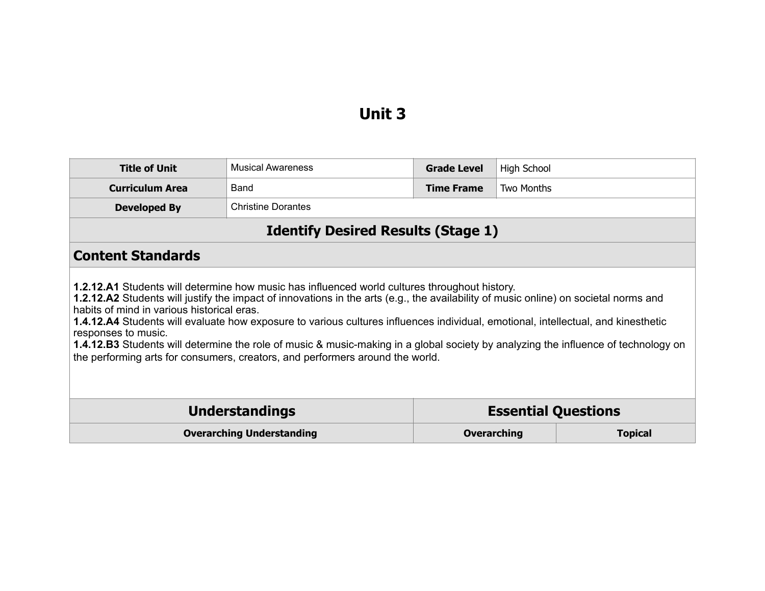# **Unit 3**

| <b>Title of Unit</b>                                                                                                                                                                                                                                                                                                                                                                                                                                                                                                                                                                                                                                                                 | <b>Musical Awareness</b>                            | <b>Grade Level</b> | <b>High School</b> |  |
|--------------------------------------------------------------------------------------------------------------------------------------------------------------------------------------------------------------------------------------------------------------------------------------------------------------------------------------------------------------------------------------------------------------------------------------------------------------------------------------------------------------------------------------------------------------------------------------------------------------------------------------------------------------------------------------|-----------------------------------------------------|--------------------|--------------------|--|
| <b>Curriculum Area</b>                                                                                                                                                                                                                                                                                                                                                                                                                                                                                                                                                                                                                                                               | Band                                                | <b>Time Frame</b>  | Two Months         |  |
| <b>Developed By</b>                                                                                                                                                                                                                                                                                                                                                                                                                                                                                                                                                                                                                                                                  | <b>Christine Dorantes</b>                           |                    |                    |  |
|                                                                                                                                                                                                                                                                                                                                                                                                                                                                                                                                                                                                                                                                                      | <b>Identify Desired Results (Stage 1)</b>           |                    |                    |  |
| <b>Content Standards</b>                                                                                                                                                                                                                                                                                                                                                                                                                                                                                                                                                                                                                                                             |                                                     |                    |                    |  |
| <b>1.2.12.A1</b> Students will determine how music has influenced world cultures throughout history.<br>1.2.12.A2 Students will justify the impact of innovations in the arts (e.g., the availability of music online) on societal norms and<br>habits of mind in various historical eras.<br>1.4.12.A4 Students will evaluate how exposure to various cultures influences individual, emotional, intellectual, and kinesthetic<br>responses to music.<br><b>1.4.12.B3</b> Students will determine the role of music & music-making in a global society by analyzing the influence of technology on<br>the performing arts for consumers, creators, and performers around the world. |                                                     |                    |                    |  |
|                                                                                                                                                                                                                                                                                                                                                                                                                                                                                                                                                                                                                                                                                      | <b>Essential Questions</b><br><b>Understandings</b> |                    |                    |  |
|                                                                                                                                                                                                                                                                                                                                                                                                                                                                                                                                                                                                                                                                                      | <b>Overarching Understanding</b>                    | <b>Overarching</b> | <b>Topical</b>     |  |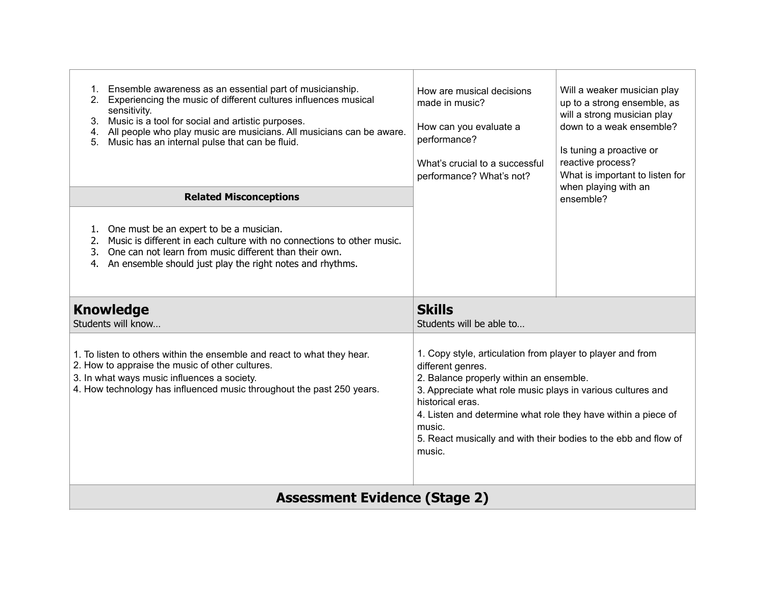| Ensemble awareness as an essential part of musicianship.<br>2. Experiencing the music of different cultures influences musical<br>sensitivity.<br>3. Music is a tool for social and artistic purposes.<br>All people who play music are musicians. All musicians can be aware.<br>4.<br>Music has an internal pulse that can be fluid. | How are musical decisions<br>made in music?<br>How can you evaluate a<br>performance?<br>What's crucial to a successful<br>performance? What's not?                                                                                                                                                                                                                   | Will a weaker musician play<br>up to a strong ensemble, as<br>will a strong musician play<br>down to a weak ensemble?<br>Is tuning a proactive or<br>reactive process?<br>What is important to listen for<br>when playing with an |  |
|----------------------------------------------------------------------------------------------------------------------------------------------------------------------------------------------------------------------------------------------------------------------------------------------------------------------------------------|-----------------------------------------------------------------------------------------------------------------------------------------------------------------------------------------------------------------------------------------------------------------------------------------------------------------------------------------------------------------------|-----------------------------------------------------------------------------------------------------------------------------------------------------------------------------------------------------------------------------------|--|
| <b>Related Misconceptions</b>                                                                                                                                                                                                                                                                                                          |                                                                                                                                                                                                                                                                                                                                                                       | ensemble?                                                                                                                                                                                                                         |  |
| 1. One must be an expert to be a musician.<br>Music is different in each culture with no connections to other music.<br>One can not learn from music different than their own.<br>3.<br>An ensemble should just play the right notes and rhythms.<br>4.                                                                                |                                                                                                                                                                                                                                                                                                                                                                       |                                                                                                                                                                                                                                   |  |
| <b>Knowledge</b><br>Students will know                                                                                                                                                                                                                                                                                                 | <b>Skills</b><br>Students will be able to                                                                                                                                                                                                                                                                                                                             |                                                                                                                                                                                                                                   |  |
| 1. To listen to others within the ensemble and react to what they hear.<br>2. How to appraise the music of other cultures.<br>3. In what ways music influences a society.<br>4. How technology has influenced music throughout the past 250 years.                                                                                     | 1. Copy style, articulation from player to player and from<br>different genres.<br>2. Balance properly within an ensemble.<br>3. Appreciate what role music plays in various cultures and<br>historical eras.<br>4. Listen and determine what role they have within a piece of<br>music.<br>5. React musically and with their bodies to the ebb and flow of<br>music. |                                                                                                                                                                                                                                   |  |
| <b>Assessment Evidence (Stage 2)</b>                                                                                                                                                                                                                                                                                                   |                                                                                                                                                                                                                                                                                                                                                                       |                                                                                                                                                                                                                                   |  |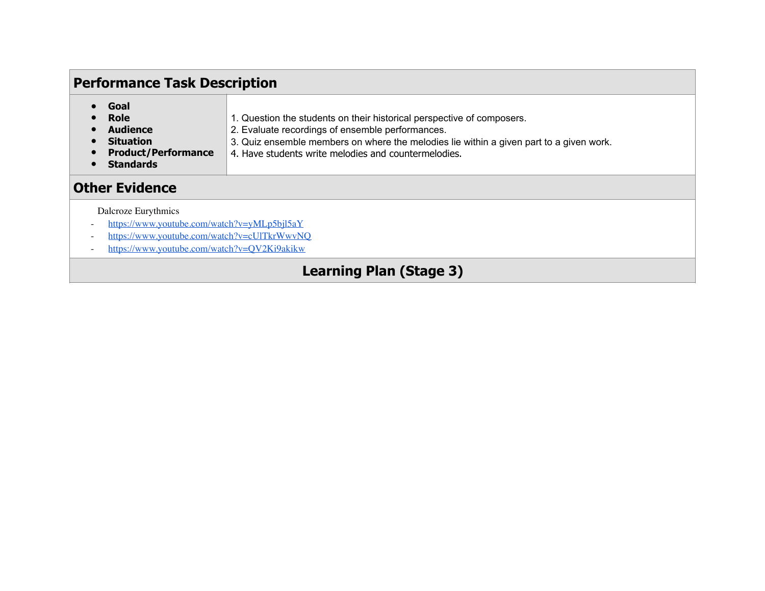| <b>Performance Task Description</b>                                                                                                                              |                                                                                                              |                                                                                                                                                                                                                                                                               |  |  |
|------------------------------------------------------------------------------------------------------------------------------------------------------------------|--------------------------------------------------------------------------------------------------------------|-------------------------------------------------------------------------------------------------------------------------------------------------------------------------------------------------------------------------------------------------------------------------------|--|--|
|                                                                                                                                                                  | Goal<br><b>Role</b><br><b>Audience</b><br><b>Situation</b><br><b>Product/Performance</b><br><b>Standards</b> | 1. Question the students on their historical perspective of composers.<br>2. Evaluate recordings of ensemble performances.<br>3. Quiz ensemble members on where the melodies lie within a given part to a given work.<br>4. Have students write melodies and countermelodies. |  |  |
| <b>Other Evidence</b>                                                                                                                                            |                                                                                                              |                                                                                                                                                                                                                                                                               |  |  |
| Dalcroze Eurythmics<br>https://www.youtube.com/watch?v=yMLp5bjl5aY<br>https://www.youtube.com/watch?v=cUlTkrWwvNQ<br>https://www.youtube.com/watch?v=QV2Ki9akikw |                                                                                                              |                                                                                                                                                                                                                                                                               |  |  |

## **Learning Plan (Stage 3)**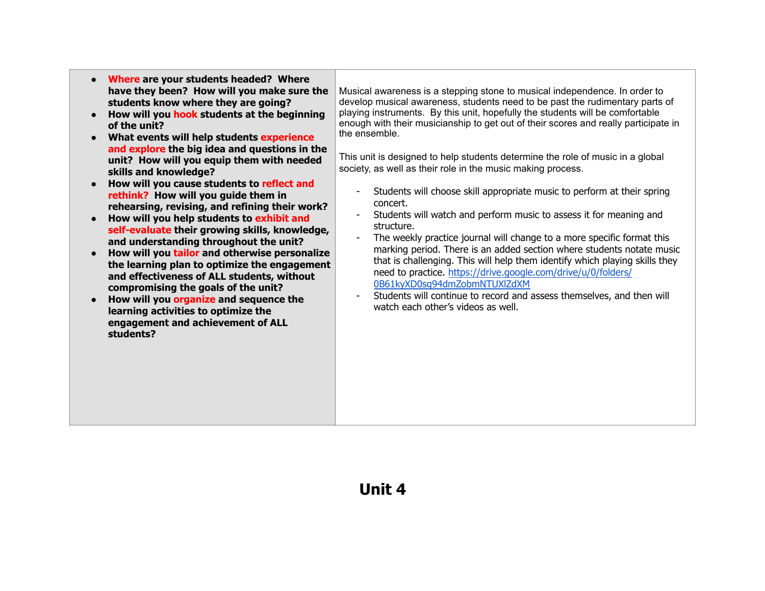- **Where are your students headed? Where have they been? How will you make sure the students know where they are going?**
- **How will you hook students at the beginning of the unit?**
- **What events will help students experience and explore the big idea and questions in the unit? How will you equip them with needed skills and knowledge?**
- **How will you cause students to reflect and rethink? How will you guide them in rehearsing, revising, and refining their work?**
- **How will you help students to exhibit and self-evaluate their growing skills, knowledge, and understanding throughout the unit?**
- **How will you tailor and otherwise personalize the learning plan to optimize the engagement and effectiveness of ALL students, without compromising the goals of the unit?**
- **How will you organize and sequence the learning activities to optimize the engagement and achievement of ALL students?**

Musical awareness is a stepping stone to musical independence. In order to develop musical awareness, students need to be past the rudimentary parts of playing instruments. By this unit, hopefully the students will be comfortable enough with their musicianship to get out of their scores and really participate in the ensemble.

This unit is designed to help students determine the role of music in a global society, as well as their role in the music making process.

- Students will choose skill appropriate music to perform at their spring concert.
- Students will watch and perform music to assess it for meaning and structure.
- The weekly practice journal will change to a more specific format this marking period. There is an added section where students notate music that is challenging. This will help them identify which playing skills they [need to practice. https://drive.google.com/drive/u/0/folders/](https://drive.google.com/drive/u/0/folders/0B61kyXD0sg94dmZobmNTUXlZdXM) 0B61kyXD0sg94dmZobmNTUXlZdXM
	- Students will continue to record and assess themselves, and then will watch each other's videos as well.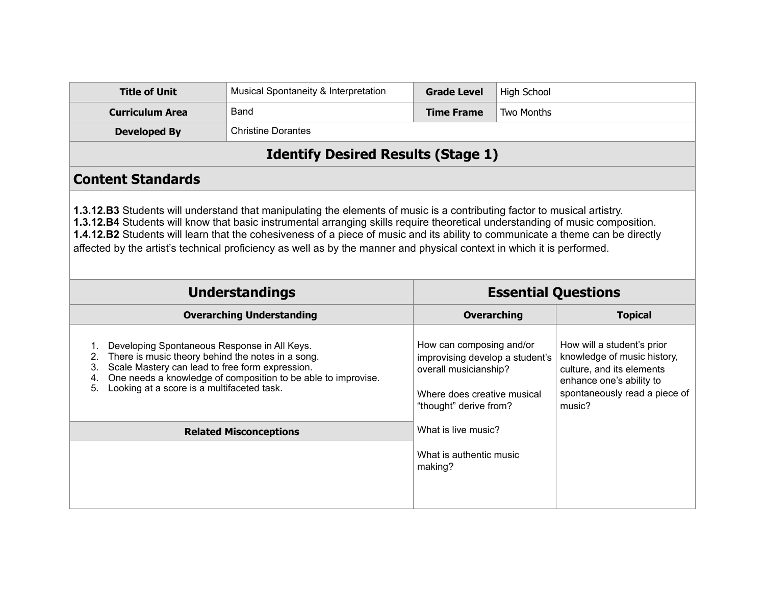| <b>Title of Unit</b>   | Musical Spontaneity & Interpretation | <b>Grade Level</b> | High School |
|------------------------|--------------------------------------|--------------------|-------------|
| <b>Curriculum Area</b> | Band                                 | <b>Time Frame</b>  | Two Months  |
| <b>Developed By</b>    | <b>Christine Dorantes</b>            |                    |             |

## **Identify Desired Results (Stage 1)**

#### **Content Standards**

**1.3.12.B3** Students will understand that manipulating the elements of music is a contributing factor to musical artistry. **1.3.12.B4** Students will know that basic instrumental arranging skills require theoretical understanding of music composition. **1.4.12.B2** Students will learn that the cohesiveness of a piece of music and its ability to communicate a theme can be directly affected by the artist's technical proficiency as well as by the manner and physical context in which it is performed.

| <b>Understandings</b>                                                                                                                                                                                                                                                                       | <b>Essential Questions</b>                                                                                                                    |                                                                                                                                                               |  |
|---------------------------------------------------------------------------------------------------------------------------------------------------------------------------------------------------------------------------------------------------------------------------------------------|-----------------------------------------------------------------------------------------------------------------------------------------------|---------------------------------------------------------------------------------------------------------------------------------------------------------------|--|
| <b>Overarching Understanding</b>                                                                                                                                                                                                                                                            | <b>Overarching</b>                                                                                                                            | <b>Topical</b>                                                                                                                                                |  |
| Developing Spontaneous Response in All Keys.<br>There is music theory behind the notes in a song.<br>2.<br>Scale Mastery can lead to free form expression.<br>3.<br>One needs a knowledge of composition to be able to improvise.<br>4.<br>Looking at a score is a multifaceted task.<br>5. | How can composing and/or<br>improvising develop a student's<br>overall musicianship?<br>Where does creative musical<br>"thought" derive from? | How will a student's prior<br>knowledge of music history,<br>culture, and its elements<br>enhance one's ability to<br>spontaneously read a piece of<br>music? |  |
| <b>Related Misconceptions</b>                                                                                                                                                                                                                                                               | What is live music?                                                                                                                           |                                                                                                                                                               |  |
|                                                                                                                                                                                                                                                                                             | What is authentic music<br>making?                                                                                                            |                                                                                                                                                               |  |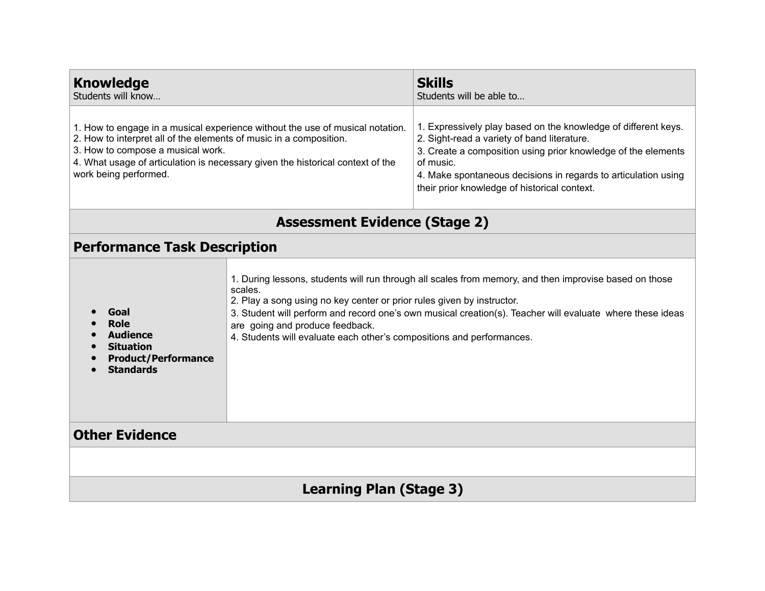| <b>Knowledge</b><br>Students will know                                                                                                                                                                                                                                                              |                                                                                                                                                                                                                                                                                                                                                                                                                      | <b>Skills</b><br>Students will be able to                                                                                                                                                                                                                                                                     |  |
|-----------------------------------------------------------------------------------------------------------------------------------------------------------------------------------------------------------------------------------------------------------------------------------------------------|----------------------------------------------------------------------------------------------------------------------------------------------------------------------------------------------------------------------------------------------------------------------------------------------------------------------------------------------------------------------------------------------------------------------|---------------------------------------------------------------------------------------------------------------------------------------------------------------------------------------------------------------------------------------------------------------------------------------------------------------|--|
| 1. How to engage in a musical experience without the use of musical notation.<br>2. How to interpret all of the elements of music in a composition.<br>3. How to compose a musical work.<br>4. What usage of articulation is necessary given the historical context of the<br>work being performed. |                                                                                                                                                                                                                                                                                                                                                                                                                      | 1. Expressively play based on the knowledge of different keys.<br>2. Sight-read a variety of band literature.<br>3. Create a composition using prior knowledge of the elements<br>of music.<br>4. Make spontaneous decisions in regards to articulation using<br>their prior knowledge of historical context. |  |
|                                                                                                                                                                                                                                                                                                     | <b>Assessment Evidence (Stage 2)</b>                                                                                                                                                                                                                                                                                                                                                                                 |                                                                                                                                                                                                                                                                                                               |  |
| <b>Performance Task Description</b>                                                                                                                                                                                                                                                                 |                                                                                                                                                                                                                                                                                                                                                                                                                      |                                                                                                                                                                                                                                                                                                               |  |
| Goal<br><b>Role</b><br><b>Audience</b><br><b>Situation</b><br><b>Product/Performance</b><br><b>Standards</b>                                                                                                                                                                                        | 1. During lessons, students will run through all scales from memory, and then improvise based on those<br>scales.<br>2. Play a song using no key center or prior rules given by instructor.<br>3. Student will perform and record one's own musical creation(s). Teacher will evaluate where these ideas<br>are going and produce feedback.<br>4. Students will evaluate each other's compositions and performances. |                                                                                                                                                                                                                                                                                                               |  |
| <b>Other Evidence</b>                                                                                                                                                                                                                                                                               |                                                                                                                                                                                                                                                                                                                                                                                                                      |                                                                                                                                                                                                                                                                                                               |  |
|                                                                                                                                                                                                                                                                                                     |                                                                                                                                                                                                                                                                                                                                                                                                                      |                                                                                                                                                                                                                                                                                                               |  |
| <b>Learning Plan (Stage 3)</b>                                                                                                                                                                                                                                                                      |                                                                                                                                                                                                                                                                                                                                                                                                                      |                                                                                                                                                                                                                                                                                                               |  |